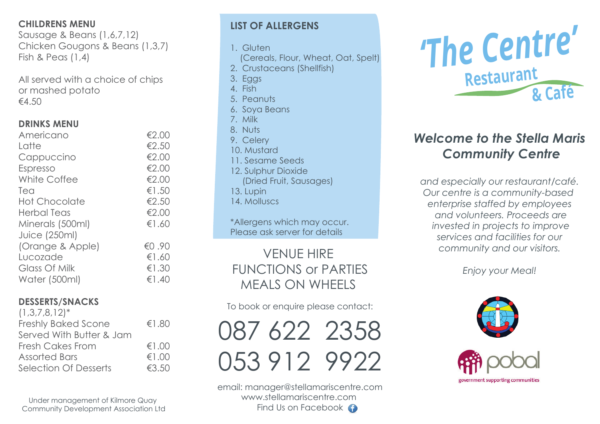## **CHILDRENS MENU**

Sausage & Beans (1,6,7,12) Chicken Gougons & Beans (1,3,7) Fish & Peas (1,4)

All served with a choice of chips or mashed potato  $€4.50$ 

## **DRINKS MENU**

| Americano            | €2.00 |
|----------------------|-------|
| Latte                | €2.50 |
| Cappuccino           | €2.00 |
| Espresso             | €2.00 |
| White Coffee         | €2.00 |
| Tea                  | €1.50 |
| <b>Hot Chocolate</b> | €2.50 |
| <b>Herbal Teas</b>   | €2.00 |
| Minerals (500ml)     | €1.60 |
| <b>Juice (250ml)</b> |       |
| (Orange & Apple)     | €0.90 |
| Lucozade             | €1.60 |
| Glass Of Milk        | €1.30 |
| Water (500ml)        | €1.40 |

# **DESSERTS/SNACKS**

| $(1,3,7,8,12)^*$             |       |
|------------------------------|-------|
| <b>Freshly Baked Scone</b>   | €1.80 |
| Served With Butter & Jam     |       |
| <b>Fresh Cakes From</b>      | €1.00 |
| <b>Assorted Bars</b>         | €1.00 |
| <b>Selection Of Desserts</b> | €3.50 |
|                              |       |

Under management of Kilmore Quay Community Development Association Ltd

# **LIST OF ALLERGENS**

1. Gluten

- (Cereals, Flour, Wheat, Oat, Spelt)
- 2. Crustaceans (Shellfish)
- 3. Eggs
- 4. Fish
- 5. Peanuts
- 6. Soya Beans
- 7. Milk
- 8. Nuts
- 9. Celery
- 10. Mustard
- 11. Sesame Seeds
- 12. Sulphur Dioxide
	- (Dried Fruit, Sausages)
- 13. Lupin
- 14. Molluscs

\*Allergens which may occur. Please ask server for details

VENUE HIRE FUNCTIONS or PARTIES MEALS ON WHEELS

To book or enquire please contact:

087 622 2358 053 912 9922

email: manager@stellamariscentre.com www.stellamariscentre.com Find Us on Facebook  $\bigodot$ 



# *Welcome to the Stella Maris Community Centre*

 *and especially our restaurant/café. Our centre is a community-based enterprise staffed by employees and volunteers. Proceeds are invested in projects to improve services and facilities for our community and our visitors.* 

*Enjoy your Meal!*